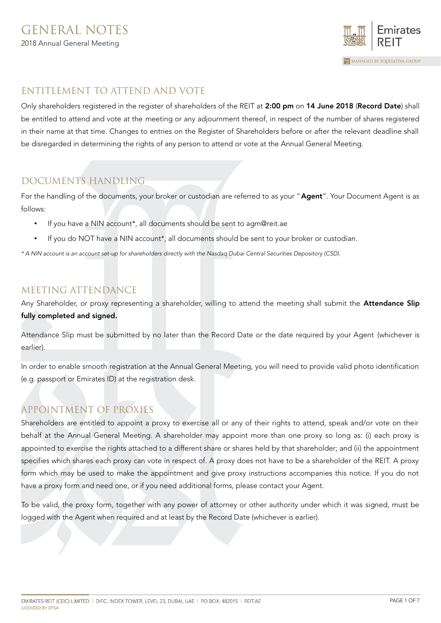

# ENTITLEMENT TO ATTEND AND VOTE

Only shareholders registered in the register of shareholders of the REIT at 2:00 pm on 14 June 2018 (Record Date) shall be entitled to attend and vote at the meeting or any adjournment thereof, in respect of the number of shares registered in their name at that time. Changes to entries on the Register of Shareholders before or after the relevant deadline shall be disregarded in determining the rights of any person to attend or vote at the Annual General Meeting.

# DOCUMENTS HANDLING

For the handling of the documents, your broker or custodian are referred to as your "Agent". Your Document Agent is as follows:

- If you have a NIN account\*, all documents should be sent to agm@reit.ae
- If you do NOT have a NIN account\*, all documents should be sent to your broker or custodian.

\* A NIN account is an account set-up for shareholders directly with the Nasdaq Dubai Central Securities Depository (CSD).

## MEETING ATTENDANCE

Any Shareholder, or proxy representing a shareholder, willing to attend the meeting shall submit the Attendance Slip fully completed and signed.

Attendance Slip must be submitted by no later than the Record Date or the date required by your Agent (whichever is earlier).

In order to enable smooth registration at the Annual General Meeting, you will need to provide valid photo identification (e.g. passport or Emirates ID) at the registration desk.

# APPOINTMENT OF PROXIES

Shareholders are entitled to appoint a proxy to exercise all or any of their rights to attend, speak and/or vote on their behalf at the Annual General Meeting. A shareholder may appoint more than one proxy so long as: (i) each proxy is appointed to exercise the rights attached to a different share or shares held by that shareholder; and (ii) the appointment specifies which shares each proxy can vote in respect of. A proxy does not have to be a shareholder of the REIT. A proxy form which may be used to make the appointment and give proxy instructions accompanies this notice. If you do not have a proxy form and need one, or if you need additional forms, please contact your Agent.

To be valid, the proxy form, together with any power of attorney or other authority under which it was signed, must be logged with the Agent when required and at least by the Record Date (whichever is earlier).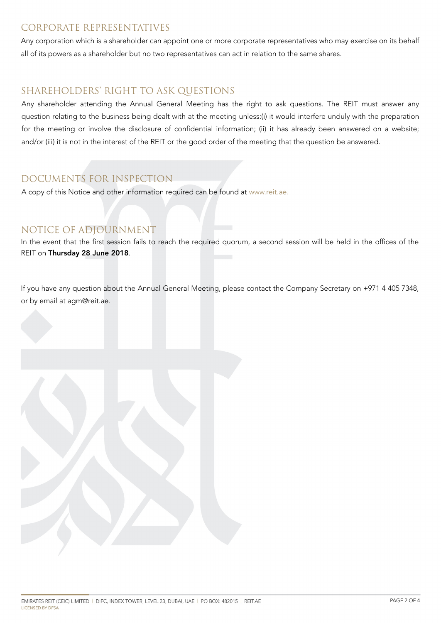## CORPORATE REPRESENTATIVES

Any corporation which is a shareholder can appoint one or more corporate representatives who may exercise on its behalf all of its powers as a shareholder but no two representatives can act in relation to the same shares.

# SHAREHOLDERS' RIGHT TO ASK QUESTIONS

Any shareholder attending the Annual General Meeting has the right to ask questions. The REIT must answer any question relating to the business being dealt with at the meeting unless:(i) it would interfere unduly with the preparation for the meeting or involve the disclosure of confidential information; (ii) it has already been answered on a website; and/or (iii) it is not in the interest of the REIT or the good order of the meeting that the question be answered.

# DOCUMENTS FOR INSPECTION

A copy of this Notice and other information required can be found at [www.reit.ae.](http://www.reit.ae/)

## NOTICE OF ADJOURNMENT

In the event that the first session fails to reach the required quorum, a second session will be held in the offices of the REIT on Thursday 28 June 2018.

If you have any question about the Annual General Meeting, please contact the Company Secretary on +971 4 405 7348, or by email at agm@reit.ae.

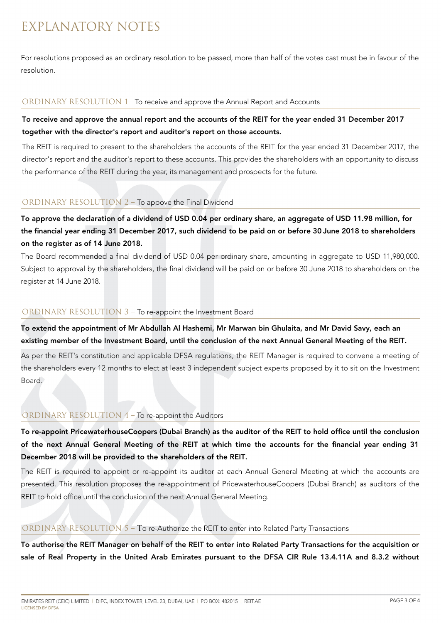# EXPLANATORY NOTES

For resolutions proposed as an ordinary resolution to be passed, more than half of the votes cast must be in favour of the resolution.

#### ORDINARY RESOLUTION 1– To receive and approve the Annual Report and Accounts

## To receive and approve the annual report and the accounts of the REIT for the year ended 31 December 2017 together with the director's report and auditor's report on those accounts.

The REIT is required to present to the shareholders the accounts of the REIT for the year ended 31 December 2017, the director's report and the auditor's report to these accounts. This provides the shareholders with an opportunity to discuss the performance of the REIT during the year, its management and prospects for the future.

## ORDINARY RESOLUTION 2 – To appove the Final Dividend

To approve the declaration of a dividend of USD 0.04 per ordinary share, an aggregate of USD 11.98 million, for the financial year ending 31 December 2017, such dividend to be paid on or before 30 June 2018 to shareholders on the register as of 14 June 2018.

The Board recommended a final dividend of USD 0.04 per ordinary share, amounting in aggregate to USD 11,980,000. Subject to approval by the shareholders, the final dividend will be paid on or before 30 June 2018 to shareholders on the register at 14 June 2018.

#### ORDINARY RESOLUTION 3 – To re-appoint the Investment Board

To extend the appointment of Mr Abdullah Al Hashemi, Mr Marwan bin Ghulaita, and Mr David Savy, each an existing member of the Investment Board, until the conclusion of the next Annual General Meeting of the REIT.

As per the REIT's constitution and applicable DFSA regulations, the REIT Manager is required to convene a meeting of the shareholders every 12 months to elect at least 3 independent subject experts proposed by it to sit on the Investment Board.

## ORDINARY RESOLUTION 4 – To re-appoint the Auditors

To re-appoint PricewaterhouseCoopers (Dubai Branch) as the auditor of the REIT to hold office until the conclusion of the next Annual General Meeting of the REIT at which time the accounts for the financial year ending 31 December 2018 will be provided to the shareholders of the REIT.

The REIT is required to appoint or re-appoint its auditor at each Annual General Meeting at which the accounts are presented. This resolution proposes the re-appointment of PricewaterhouseCoopers (Dubai Branch) as auditors of the REIT to hold office until the conclusion of the next Annual General Meeting.

## ORDINARY RESOLUTION 5 – To re-Authorize the REIT to enter into Related Party Transactions

To authorise the REIT Manager on behalf of the REIT to enter into Related Party Transactions for the acquisition or sale of Real Property in the United Arab Emirates pursuant to the DFSA CIR Rule 13.4.11A and 8.3.2 without